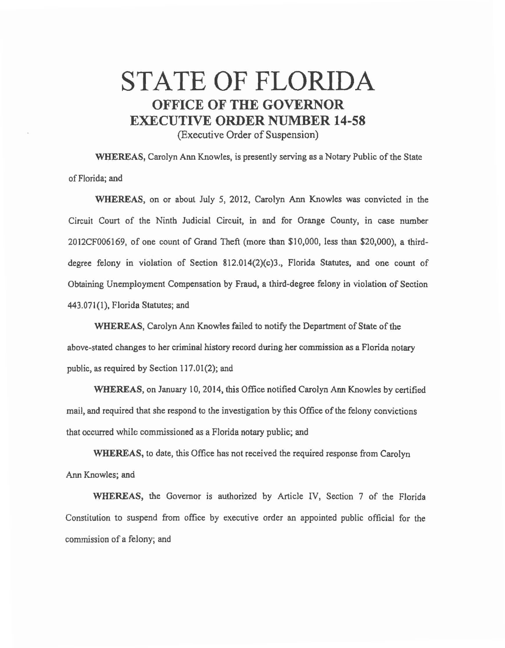## STATE OF FLORIDA **OFFICE OF THE GOVERNOR EXECUTIVE ORDER NUMBER 14-58**

(Executive Order of Suspension)

WHEREAS, Carolyn Ann Knowles, is presently serving as a Notary Public of the State of Florida; and

WHEREAS, on or about July 5, 2012, Carolyn Ann Knowles was convicted in the Circuit Court of the Ninth Judicial Circuit, in and for Orange County, in case number 2012CF006169, of one count of Grand Theft (more than \$10,000, less than \$20,000), a thirddegree felony in violation of Section 812.014(2)(c)3 ., Florida Statutes, and one count of Obtaining Unemployment Compensation by Fraud, a third-degree felony in violation of Section 443.071(1), Florida Statutes; and

WHEREAS, Carolyn Ann Knowles failed to notify the Department of State of the above-stated changes to her criminal history record during her commission as a Florida notary public, as required by Section 117.01(2); and

WHEREAS, on January 10, 2014, this Office notified Carolyn Ann Knowles by certified mail, and required that she respond to the investigation by this Office of the felony convictions that occurred while commissioned *as* a Florida notary public; and

WHEREAS, to date, this Office has not received the required response from Carolyn Ann Knowles; and

WHEREAS, the Governor *is* authorized by Article IV, Section 7 of the Florida Constitution to suspend from office by executive order an appointed public official for the commission of a felony; and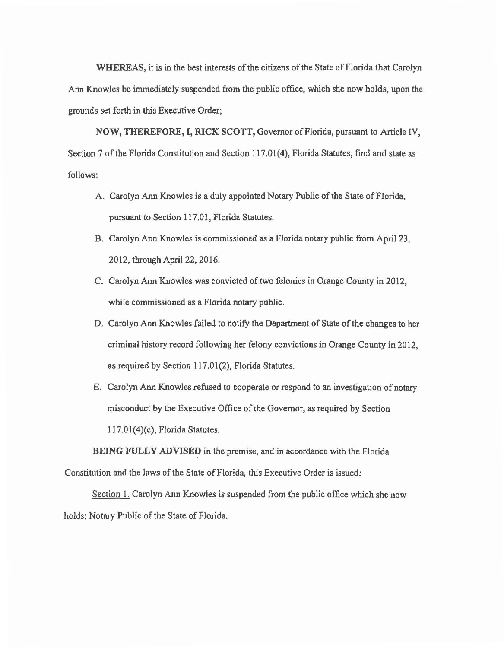WHEREAS, it is in the best interests of the citizens of the State of Florida that Carolyn Ann Knowles be immediately suspended from the public office, which she now holds, upon the grounds set forth in this Executive Order;

NOW, THEREFORE, I, RICK SCOTT, Governor of Florida, pursuant to Article IV, Section 7 of the Florida Constitution and Section 117.01(4), Florida Statutes, find and state as follows:

- A. Carolyn Ann Knowles is a duly appointed Notary Public of the State of Florida, pursuant to Section 117.01, Florida Statutes.
- B. Carolyn Ann Knowles is commissioned as a Florida notary public from April 23, 2012, through April 22, 2016.
- C. Carolyn Ann Knowles was convicted of two felonies in Orange County in 2012, while commissioned as a Florida notary public.
- D. Carolyn Ann Knowles failed to notify the Department of State of the changes to her criminal history record following her felony convictions in Orange County in 2012, *as* required by Section 117.01 (2), Florida Statutes.
- E. Carolyn Ann Knowles refused to cooperate or respond to an investigation of notary misconduct by the Executive Office of the Governor, as required by Section l 17.01(4)(c), Florida Statutes.

BEING FULLY ADVISED in the premise, and in accordance with the Florida Constitution and the laws of the State of Florida, this Executive Order is issued:

Section 1. Carolyn Ann Knowles is suspended from the public office which she now holds: Notary Public of the State of Florida.